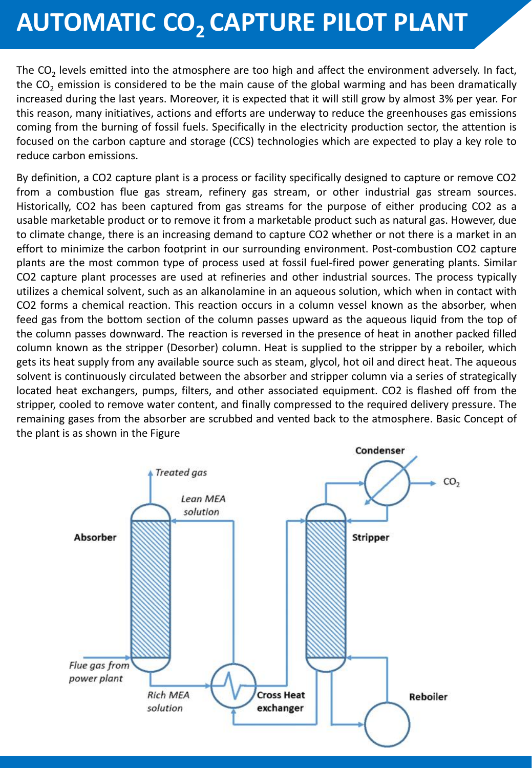## **AUTOMATIC CO2 CAPTURE PILOT PLANT**

The CO<sub>2</sub> levels emitted into the atmosphere are too high and affect the environment adversely. In fact, the  $CO<sub>2</sub>$  emission is considered to be the main cause of the global warming and has been dramatically increased during the last years. Moreover, it is expected that it will still grow by almost 3% per year. For this reason, many initiatives, actions and efforts are underway to reduce the greenhouses gas emissions coming from the burning of fossil fuels. Specifically in the electricity production sector, the attention is focused on the carbon capture and storage (CCS) technologies which are expected to play a key role to reduce carbon emissions.

By definition, a CO2 capture plant is a process or facility specifically designed to capture or remove CO2 from a combustion flue gas stream, refinery gas stream, or other industrial gas stream sources. Historically, CO2 has been captured from gas streams for the purpose of either producing CO2 as a usable marketable product or to remove it from a marketable product such as natural gas. However, due to climate change, there is an increasing demand to capture CO2 whether or not there is a market in an effort to minimize the carbon footprint in our surrounding environment. Post-combustion CO2 capture plants are the most common type of process used at fossil fuel-fired power generating plants. Similar CO2 capture plant processes are used at refineries and other industrial sources. The process typically utilizes a chemical solvent, such as an alkanolamine in an aqueous solution, which when in contact with CO2 forms a chemical reaction. This reaction occurs in a column vessel known as the absorber, when feed gas from the bottom section of the column passes upward as the aqueous liquid from the top of the column passes downward. The reaction is reversed in the presence of heat in another packed filled column known as the stripper (Desorber) column. Heat is supplied to the stripper by a reboiler, which gets its heat supply from any available source such as steam, glycol, hot oil and direct heat. The aqueous solvent is continuously circulated between the absorber and stripper column via a series of strategically located heat exchangers, pumps, filters, and other associated equipment. CO2 is flashed off from the stripper, cooled to remove water content, and finally compressed to the required delivery pressure. The remaining gases from the absorber are scrubbed and vented back to the atmosphere. Basic Concept of the plant is as shown in the Figure